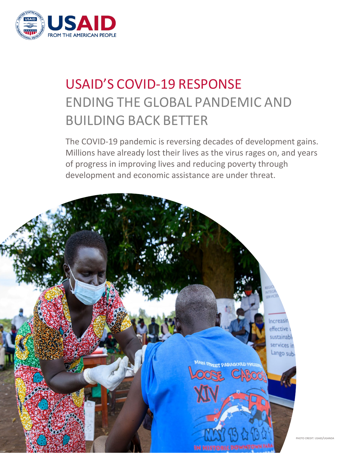

# USAID'S COVID-19 RESPONSE ENDING THE GLOBAL PANDEMIC AND BUILDING BACK BETTER

The COVID-19 pandemic is reversing decades of development gains. Millions have already lost their lives as the virus rages on, and years of progress in improving lives and reducing poverty through development and economic assistance are under threat.



PHOTO CREDIT: USAID/UGANDA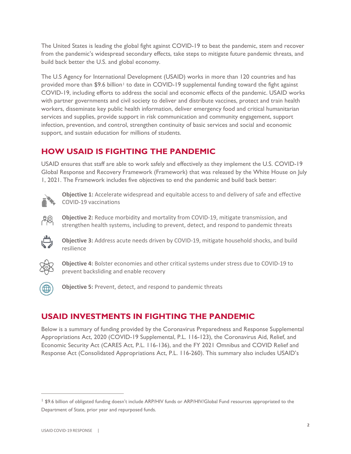The United States is leading the global fight against COVID-19 to beat the pandemic, stem and recover from the pandemic's widespread secondary effects, take steps to mitigate future pandemic threats, and build back better the U.S. and global economy.

The U.S Agency for International Development (USAID) works in more than 120 countries and has provided more than \$9.6 billion<sup>[1](#page-1-0)</sup> to date in COVID-19 supplemental funding toward the fight against COVID-19, including efforts to address the social and economic effects of the pandemic. USAID works with partner governments and civil society to deliver and distribute vaccines, protect and train health workers, disseminate key public health information, deliver emergency food and critical humanitarian services and supplies, provide support in risk communication and community engagement, support infection, prevention, and control, strengthen continuity of basic services and social and economic support, and sustain education for millions of students.

# **HOW USAID IS FIGHTING THE PANDEMIC**

USAID ensures that staff are able to work safely and effectively as they implement the U.S. COVID-19 Global Response and Recovery Framework (Framework) that was released by the White House on July 1, 2021. The Framework includes five objectives to end the pandemic and build back better:



**Objective 1:** Accelerate widespread and equitable access to and delivery of safe and effective COVID-19 vaccinations

**Objective 2:** Reduce morbidity and mortality from COVID-19, mitigate transmission, and strengthen health systems, including to prevent, detect, and respond to pandemic threats



**Objective 3:** Address acute needs driven by COVID-19, mitigate household shocks, and build resilience



**Objective 4:** Bolster economies and other critical systems under stress due to COVID-19 to prevent backsliding and enable recovery



**Objective 5:** Prevent, detect, and respond to pandemic threats

# **USAID INVESTMENTS IN FIGHTING THE PANDEMIC**

Below is a summary of funding provided by the Coronavirus Preparedness and Response Supplemental Appropriations Act, 2020 (COVID-19 Supplemental, P.L. 116-123), the Coronavirus Aid, Relief, and Economic Security Act (CARES Act, P.L. 116-136), and the FY 2021 Omnibus and COVID Relief and Response Act (Consolidated Appropriations Act, P.L. 116-260). This summary also includes USAID's

<span id="page-1-0"></span><sup>&</sup>lt;sup>1</sup> \$9.6 billion of obligated funding doesn't include ARP/HIV funds or ARP/HIV/Global Fund resources appropriated to the Department of State, prior year and repurposed funds.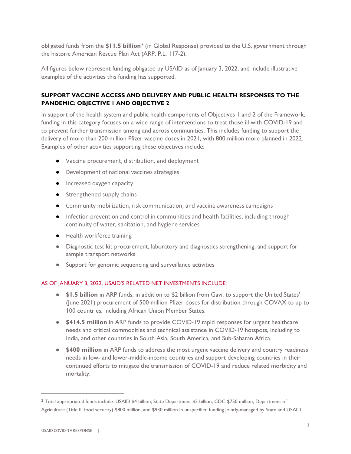obligated funds from the **\$11.5 billion[2](#page-2-0)** (in Global Response) provided to the U.S. government through the historic American Rescue Plan Act (ARP, P.L. 117-2).

All figures below represent funding obligated by USAID as of January 3, 2022, and include illustrative examples of the activities this funding has supported.

## **SUPPORT VACCINE ACCESS AND DELIVERY AND PUBLIC HEALTH RESPONSES TO THE PANDEMIC: OBJECTIVE 1 AND OBJECTIVE 2**

In support of the health system and public health components of Objectives 1 and 2 of the Framework, funding in this category focuses on a wide range of interventions to treat those ill with COVID-19 and to prevent further transmission among and across communities. This includes funding to support the delivery of more than 200 million Pfizer vaccine doses in 2021, with 800 million more planned in 2022. Examples of other activities supporting these objectives include:

- Vaccine procurement, distribution, and deployment
- Development of national vaccines strategies
- Increased oxygen capacity
- Strengthened supply chains
- Community mobilization, risk communication, and vaccine awareness campaigns
- Infection prevention and control in communities and health facilities, including through continuity of water, sanitation, and hygiene services
- Health workforce training
- Diagnostic test kit procurement, laboratory and diagnostics strengthening, and support for sample transport networks
- Support for genomic sequencing and surveillance activities

#### AS OF JANUARY 3, 2022, USAID'S RELATED NET INVESTMENTS INCLUDE:

- **\$1.5 billion** in ARP funds, in addition to \$2 billion from Gavi, to support the United States' (June 2021) procurement of 500 million Pfizer doses for distribution through COVAX to up to 100 countries, including African Union Member States.
- **\$414.5 million** in ARP funds to provide COVID-19 rapid responses for urgent healthcare needs and critical commodities and technical assistance in COVID-19 hotspots, including to India, and other countries in South Asia, South America, and Sub-Saharan Africa.
- **\$400 million** in ARP funds to address the most urgent vaccine delivery and country readiness needs in low- and lower-middle-income countries and support developing countries in their continued efforts to mitigate the transmission of COVID-19 and reduce related morbidity and mortality.

<span id="page-2-0"></span><sup>2</sup> Total appropriated funds include: USAID \$4 billion; State Department \$5 billion; CDC \$750 million; Department of Agriculture (Title II, food security) \$800 million, and \$930 million in unspecified funding jointly-managed by State and USAID.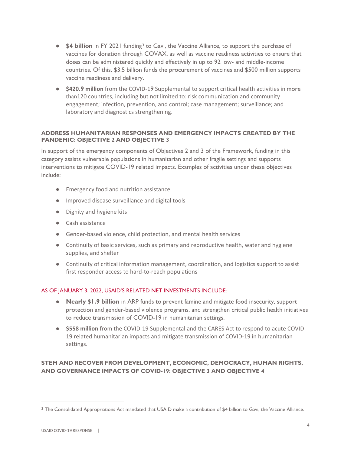- **\$4 billion** in FY 2021 funding<sup>[3](#page-3-0)</sup> to Gavi, the Vaccine Alliance, to support the purchase of vaccines for donation through COVAX, as well as vaccine readiness activities to ensure that doses can be administered quickly and effectively in up to 92 low- and middle-income countries. Of this, \$3.5 billion funds the procurement of vaccines and \$500 million supports vaccine readiness and delivery.
- **\$420.9 million** from the COVID-19 Supplemental to support critical health activities in more than120 countries, including but not limited to: risk communication and community engagement; infection, prevention, and control; case management; surveillance; and laboratory and diagnostics strengthening.

#### **ADDRESS HUMANITARIAN RESPONSES AND EMERGENCY IMPACTS CREATED BY THE PANDEMIC: OBJECTIVE 2 AND OBJECTIVE 3**

In support of the emergency components of Objectives 2 and 3 of the Framework, funding in this category assists vulnerable populations in humanitarian and other fragile settings and supports interventions to mitigate COVID-19 related impacts. Examples of activities under these objectives include:

- Emergency food and nutrition assistance
- Improved disease surveillance and digital tools
- Dignity and hygiene kits
- Cash assistance
- Gender-based violence, child protection, and mental health services
- Continuity of basic services, such as primary and reproductive health, water and hygiene supplies, and shelter
- Continuity of critical information management, coordination, and logistics support to assist first responder access to hard-to-reach populations

#### AS OF JANUARY 3, 2022, USAID'S RELATED NET INVESTMENTS INCLUDE:

- **Nearly \$1.9 billion** in ARP funds to prevent famine and mitigate food insecurity, support protection and gender-based violence programs, and strengthen critical public health initiatives to reduce transmission of COVID-19 in humanitarian settings.
- **\$558 million** from the COVID-19 Supplemental and the CARES Act to respond to acute COVID-19 related humanitarian impacts and mitigate transmission of COVID-19 in humanitarian settings.

## **STEM AND RECOVER FROM DEVELOPMENT, ECONOMIC, DEMOCRACY, HUMAN RIGHTS, AND GOVERNANCE IMPACTS OF COVID-19: OBJECTIVE 3 AND OBJECTIVE 4**

<span id="page-3-0"></span><sup>&</sup>lt;sup>3</sup> The Consolidated Appropriations Act mandated that USAID make a contribution of \$4 billion to Gavi, the Vaccine Alliance.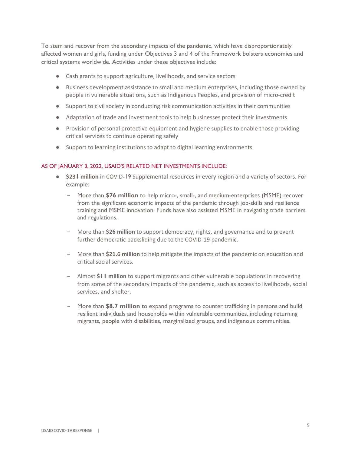To stem and recover from the secondary impacts of the pandemic, which have disproportionately affected women and girls, funding under Objectives 3 and 4 of the Framework bolsters economies and critical systems worldwide. Activities under these objectives include:

- Cash grants to support agriculture, livelihoods, and service sectors
- Business development assistance to small and medium enterprises, including those owned by people in vulnerable situations, such as Indigenous Peoples, and provision of micro-credit
- Support to civil society in conducting risk communication activities in their communities
- Adaptation of trade and investment tools to help businesses protect their investments
- Provision of personal protective equipment and hygiene supplies to enable those providing critical services to continue operating safely
- Support to learning institutions to adapt to digital learning environments

#### AS OF JANUARY 3, 2022, USAID'S RELATED NET INVESTMENTS INCLUDE:

- **\$231 million** in COVID-19 Supplemental resources in every region and a variety of sectors. For example:
	- − More than **\$76 million** to help micro-, small-, and medium-enterprises (MSME) recover from the significant economic impacts of the pandemic through job-skills and resilience training and MSME innovation. Funds have also assisted MSME in navigating trade barriers and regulations.
	- − More than **\$26 million** to support democracy, rights, and governance and to prevent further democratic backsliding due to the COVID-19 pandemic.
	- − More than **\$21.6 million** to help mitigate the impacts of the pandemic on education and critical social services.
	- − Almost **\$11 million** to support migrants and other vulnerable populations in recovering from some of the secondary impacts of the pandemic, such as access to livelihoods, social services, and shelter.
	- − More than **\$8.7 million** to expand programs to counter trafficking in persons and build resilient individuals and households within vulnerable communities, including returning migrants, people with disabilities, marginalized groups, and indigenous communities.